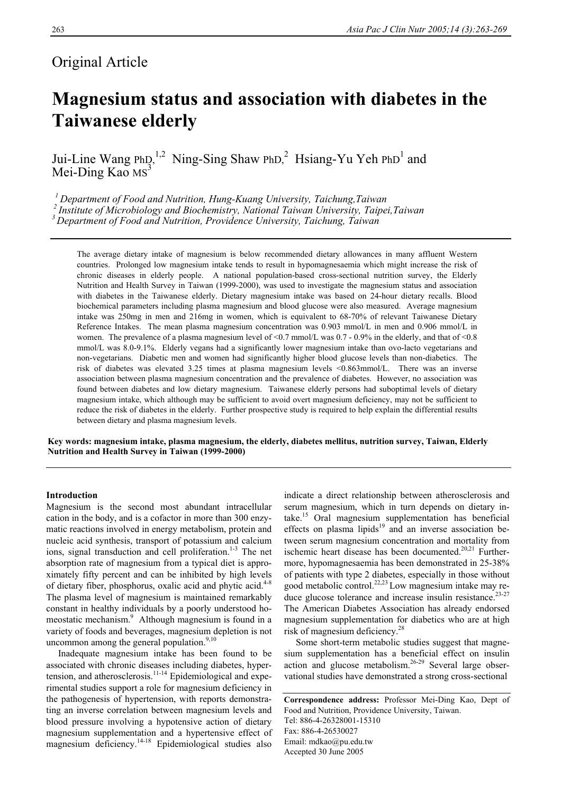# Original Article

# **Magnesium status and association with diabetes in the Taiwanese elderly**

Jui-Line Wang  $PhD<sub>2</sub><sup>1,2</sup>$  Ning-Sing Shaw  $PhD<sub>1</sub><sup>2</sup>$  Hsiang-Yu Yeh  $PhD<sub>1</sub>$  and Mei-Ding Kao  $MS<sup>3</sup>$ 

<sup>1</sup> Department of Food and Nutrition, Hung-Kuang University, Taichung, Taiwan<br><sup>2</sup> Institute of Microbiology and Biochemistry, National Taiwan University, Taipei, Taiwan<br><sup>3</sup> Department of Food and Nutrition, Providence Uni

The average dietary intake of magnesium is below recommended dietary allowances in many affluent Western countries. Prolonged low magnesium intake tends to result in hypomagnesaemia which might increase the risk of chronic diseases in elderly people. A national population-based cross-sectional nutrition survey, the Elderly Nutrition and Health Survey in Taiwan (1999-2000), was used to investigate the magnesium status and association with diabetes in the Taiwanese elderly. Dietary magnesium intake was based on 24-hour dietary recalls. Blood biochemical parameters including plasma magnesium and blood glucose were also measured. Average magnesium intake was 250mg in men and 216mg in women, which is equivalent to 68-70% of relevant Taiwanese Dietary Reference Intakes. The mean plasma magnesium concentration was 0.903 mmol/L in men and 0.906 mmol/L in women. The prevalence of a plasma magnesium level of  $\le 0.7$  mmol/L was 0.7 - 0.9% in the elderly, and that of  $\le 0.8$ mmol/L was 8.0-9.1%. Elderly vegans had a significantly lower magnesium intake than ovo-lacto vegetarians and non-vegetarians. Diabetic men and women had significantly higher blood glucose levels than non-diabetics. The risk of diabetes was elevated 3.25 times at plasma magnesium levels <0.863mmol/L. There was an inverse association between plasma magnesium concentration and the prevalence of diabetes. However, no association was found between diabetes and low dietary magnesium. Taiwanese elderly persons had suboptimal levels of dietary magnesium intake, which although may be sufficient to avoid overt magnesium deficiency, may not be sufficient to reduce the risk of diabetes in the elderly. Further prospective study is required to help explain the differential results between dietary and plasma magnesium levels.

**Key words: magnesium intake, plasma magnesium, the elderly, diabetes mellitus, nutrition survey, Taiwan, Elderly Nutrition and Health Survey in Taiwan (1999-2000)** 

# **Introduction**

Magnesium is the second most abundant intracellular cation in the body, and is a cofactor in more than 300 enzymatic reactions involved in energy metabolism, protein and nucleic acid synthesis, transport of potassium and calcium ions, signal transduction and cell proliferation.<sup>1-3</sup> The net absorption rate of magnesium from a typical diet is approximately fifty percent and can be inhibited by high levels of dietary fiber, phosphorus, oxalic acid and phytic acid.<sup>4-8</sup> The plasma level of magnesium is maintained remarkably constant in healthy individuals by a poorly understood homeostatic mechanism.<sup>9</sup> Although magnesium is found in a variety of foods and beverages, magnesium depletion is not uncommon among the general population. $9,10$ 

 Inadequate magnesium intake has been found to be associated with chronic diseases including diabetes, hypertension, and atherosclerosis. $11-14$  Epidemiological and experimental studies support a role for magnesium deficiency in the pathogenesis of hypertension, with reports demonstrating an inverse correlation between magnesium levels and blood pressure involving a hypotensive action of dietary magnesium supplementation and a hypertensive effect of magnesium deficiency.14-18 Epidemiological studies also

indicate a direct relationship between atherosclerosis and serum magnesium, which in turn depends on dietary intake.15 Oral magnesium supplementation has beneficial effects on plasma lipids<sup>19</sup> and an inverse association between serum magnesium concentration and mortality from ischemic heart disease has been documented. $20,21$  Furthermore, hypomagnesaemia has been demonstrated in 25-38% of patients with type 2 diabetes, especially in those without good metabolic control.<sup>22,23</sup> Low magnesium intake may reduce glucose tolerance and increase insulin resistance.<sup>23-27</sup> The American Diabetes Association has already endorsed magnesium supplementation for diabetics who are at high risk of magnesium deficiency.<sup>28</sup>

 Some short-term metabolic studies suggest that magnesium supplementation has a beneficial effect on insulin action and glucose metabolism.<sup>26-29</sup> Several large observational studies have demonstrated a strong cross-sectional

**Correspondence address:** Professor Mei-Ding Kao, Dept of Food and Nutrition, Providence University, Taiwan. Tel: 886-4-26328001-15310 Fax: 886-4-26530027 Email: mdkao@pu.edu.tw Accepted 30 June 2005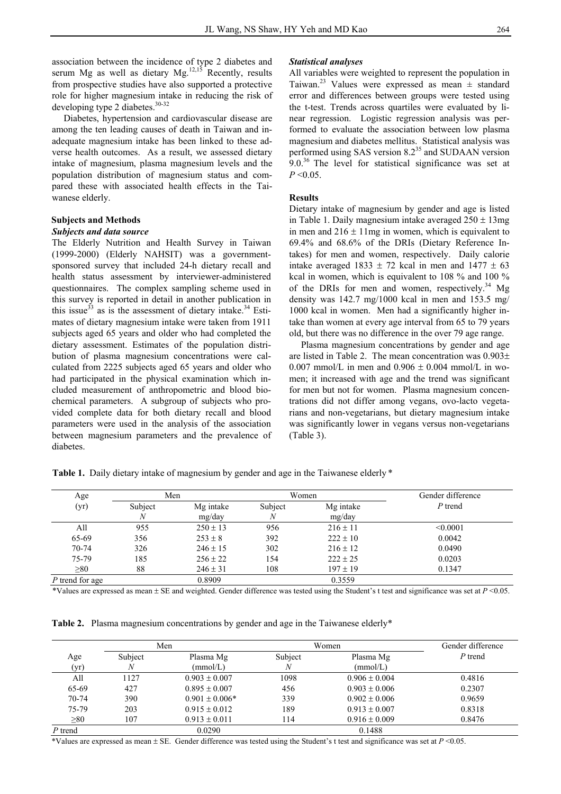association between the incidence of type 2 diabetes and serum Mg as well as dietary  $Mg$ .<sup>12,15</sup> Recently, results from prospective studies have also supported a protective role for higher magnesium intake in reducing the risk of developing type 2 diabetes.<sup>30-32</sup>

Diabetes, hypertension and cardiovascular disease are among the ten leading causes of death in Taiwan and inadequate magnesium intake has been linked to these adverse health outcomes. As a result, we assessed dietary intake of magnesium, plasma magnesium levels and the population distribution of magnesium status and compared these with associated health effects in the Taiwanese elderly.

### **Subjects and Methods**

#### *Subjects and data source*

The Elderly Nutrition and Health Survey in Taiwan (1999-2000) (Elderly NAHSIT) was a governmentsponsored survey that included 24-h dietary recall and health status assessment by interviewer-administered questionnaires. The complex sampling scheme used in this survey is reported in detail in another publication in this issue $33$  as is the assessment of dietary intake.<sup>34</sup> Estimates of dietary magnesium intake were taken from 1911 subjects aged 65 years and older who had completed the dietary assessment. Estimates of the population distribution of plasma magnesium concentrations were calculated from 2225 subjects aged 65 years and older who had participated in the physical examination which included measurement of anthropometric and blood biochemical parameters. A subgroup of subjects who provided complete data for both dietary recall and blood parameters were used in the analysis of the association between magnesium parameters and the prevalence of diabetes.

### *Statistical analyses*

All variables were weighted to represent the population in Taiwan.<sup>23</sup> Values were expressed as mean  $\pm$  standard error and differences between groups were tested using the t-test. Trends across quartiles were evaluated by linear regression. Logistic regression analysis was performed to evaluate the association between low plasma magnesium and diabetes mellitus. Statistical analysis was performed using SAS version 8.2<sup>35</sup> and SUDAAN version 9.0<sup>36</sup> The level for statistical significance was set at  $P \le 0.05$ 

#### **Results**

Dietary intake of magnesium by gender and age is listed in Table 1. Daily magnesium intake averaged  $250 \pm 13$ mg in men and  $216 \pm 11$  mg in women, which is equivalent to 69.4% and 68.6% of the DRIs (Dietary Reference Intakes) for men and women, respectively. Daily calorie intake averaged 1833  $\pm$  72 kcal in men and 1477  $\pm$  63 kcal in women, which is equivalent to 108 % and 100 % of the DRIs for men and women, respectively.<sup>34</sup> Mg density was 142.7 mg/1000 kcal in men and 153.5 mg/ 1000 kcal in women. Men had a significantly higher intake than women at every age interval from 65 to 79 years old, but there was no difference in the over 79 age range.

 Plasma magnesium concentrations by gender and age are listed in Table 2. The mean concentration was 0.903± 0.007 mmol/L in men and  $0.906 \pm 0.004$  mmol/L in women; it increased with age and the trend was significant for men but not for women. Plasma magnesium concentrations did not differ among vegans, ovo-lacto vegetarians and non-vegetarians, but dietary magnesium intake was significantly lower in vegans versus non-vegetarians (Table 3).

*Blood an alyses*  Table 1. Daily dietary intake of magnesium by gender and age in the Taiwanese elderly \*

| Age             | Men          |                     | Women        |                     | Gender difference |  |
|-----------------|--------------|---------------------|--------------|---------------------|-------------------|--|
| (yr)            | Subject<br>N | Mg intake<br>mg/day | Subject<br>N | Mg intake<br>mg/day | $P$ trend         |  |
| All             | 955          | $250 \pm 13$        | 956          | $216 \pm 11$        | < 0.0001          |  |
| 65-69           | 356          | $253 \pm 8$         | 392          | $222 \pm 10$        | 0.0042            |  |
| $70 - 74$       | 326          | $246 \pm 15$        | 302          | $216 \pm 12$        | 0.0490            |  |
| 75-79           | 185          | $256 \pm 22$        | 154          | $222 \pm 25$        | 0.0203            |  |
| $\geq 80$       | 88           | $246 \pm 31$        | 108          | $197 \pm 19$        | 0.1347            |  |
| P trend for age |              | 0.8909              |              | 0.3559              |                   |  |

\*Values are expressed as mean  $\pm$  SE and weighted. Gender difference was tested using the Student's t test and significance was set at  $P$  <0.05.

**Table 2.** Plasma magnesium concentrations by gender and age in the Taiwanese elderly<sup>\*</sup>

|           |         | Men                |         | Women             | Gender difference |
|-----------|---------|--------------------|---------|-------------------|-------------------|
| Age       | Subject | Plasma Mg          | Subject | Plasma Mg         | P trend           |
| (yr)      | N       | (mmol/L)           | Ν       | (mmol/L)          |                   |
| All       | 1127    | $0.903 \pm 0.007$  | 1098    | $0.906 \pm 0.004$ | 0.4816            |
| 65-69     | 427     | $0.895 \pm 0.007$  | 456     | $0.903 \pm 0.006$ | 0.2307            |
| $70-74$   | 390     | $0.901 \pm 0.006*$ | 339     | $0.902 \pm 0.006$ | 0.9659            |
| 75-79     | 203     | $0.915 \pm 0.012$  | 189     | $0.913 \pm 0.007$ | 0.8318            |
| $\geq 80$ | 107     | $0.913 \pm 0.011$  | 114     | $0.916 \pm 0.009$ | 0.8476            |
| $P$ trend |         | 0.0290             |         | 0.1488            |                   |

\*Values are expressed as mean  $\pm$  SE. Gender difference was tested using the Student's t test and significance was set at  $P \le 0.05$ .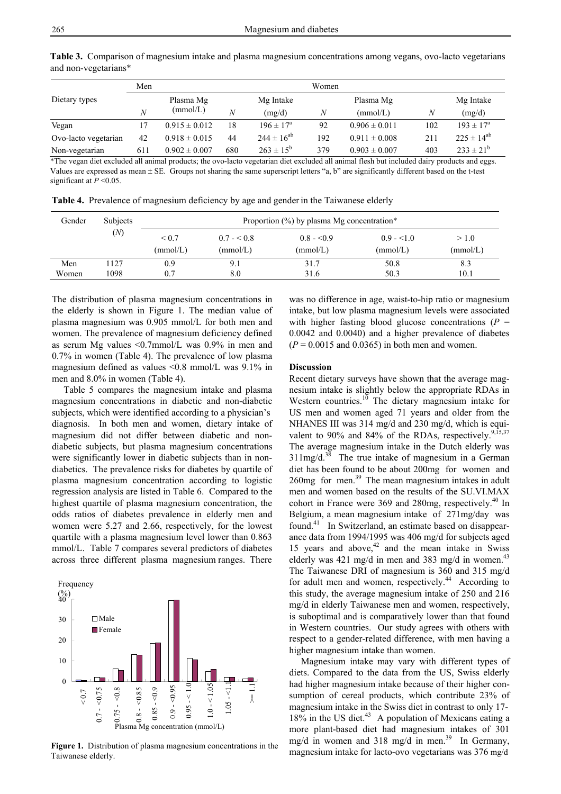|                      | Men |                   |     |                      | Women |                   |     |                      |
|----------------------|-----|-------------------|-----|----------------------|-------|-------------------|-----|----------------------|
| Dietary types        |     | Plasma Mg         |     | Mg Intake            |       | Plasma Mg         |     | Mg Intake            |
|                      | N   | (mmol/L)          | N   | (mg/d)               | N     | (mmol/L)          | Ν   | (mg/d)               |
| Vegan                | 17  | $0.915 \pm 0.012$ | 18  | $196 \pm 17^{\circ}$ | 92    | $0.906 \pm 0.011$ | 102 | $193 \pm 17^{\circ}$ |
| Ovo-lacto vegetarian | 42  | $0.918 \pm 0.015$ | 44  | $244 \pm 16^{ab}$    | 192   | $0.911 \pm 0.008$ | 211 | $225 \pm 14^{ab}$    |
| Non-vegetarian       | 611 | $0.902 \pm 0.007$ | 680 | $263 \pm 15^{6}$     | 379   | $0.903 \pm 0.007$ | 403 | $233 \pm 21^{6}$     |

**Table 3.** Comparison of magnesium intake and plasma magnesium concentrations among vegans, ovo-lacto vegetarians and non-vegetarians\*

\*The vegan diet excluded all animal products; the ovo-lacto vegetarian diet excluded all animal flesh but included dairy products and eggs. Values are expressed as mean ± SE. Groups not sharing the same superscript letters "a, b" are significantly different based on the t-test significant at  $P \le 0.05$ .

**Table 4.** Prevalence of magnesium deficiency by age and genderin the Taiwanese elderly

| Gender       | <b>Subjects</b> | Proportion $(\%)$ by plasma Mg concentration* |                         |                         |                          |                   |
|--------------|-----------------|-----------------------------------------------|-------------------------|-------------------------|--------------------------|-------------------|
|              | (N)             | ${}_{0.7}$<br>(mmol/L)                        | $0.7 - 0.8$<br>(mmol/L) | $0.8 - 0.9$<br>(mmol/L) | $0.9 - 51.0$<br>(mmol/L) | > 1.0<br>(mmol/L) |
| Men<br>Women | 127<br>1098     | 0.9<br>0.7                                    | 9.1<br>8.0              | 31.7<br>31.6            | 50.8<br>50.3             | 8.3<br>10.1       |

The distribution of plasma magnesium concentrations in the elderly is shown in Figure 1. The median value of plasma magnesium was 0.905 mmol/L for both men and women. The prevalence of magnesium deficiency defined as serum Mg values <0.7mmol/L was 0.9% in men and 0.7% in women (Table 4). The prevalence of low plasma magnesium defined as values <0.8 mmol/L was 9.1% in men and 8.0% in women (Table 4).

 Table 5 compares the magnesium intake and plasma magnesium concentrations in diabetic and non-diabetic subjects, which were identified according to a physician's diagnosis. In both men and women, dietary intake of magnesium did not differ between diabetic and nondiabetic subjects, but plasma magnesium concentrations were significantly lower in diabetic subjects than in nondiabetics. The prevalence risks for diabetes by quartile of plasma magnesium concentration according to logistic regression analysis are listed in Table 6. Compared to the highest quartile of plasma magnesium concentration, the odds ratios of diabetes prevalence in elderly men and women were 5.27 and 2.66, respectively, for the lowest quartile with a plasma magnesium level lower than 0.863 mmol/L. Table 7 compares several predictors of diabetes across three different plasma magnesium ranges. There



**Figure 1.** Distribution of plasma magnesium concentrations in the Taiwanese elderly.

was no difference in age, waist-to-hip ratio or magnesium intake, but low plasma magnesium levels were associated with higher fasting blood glucose concentrations  $(P =$ 0.0042 and 0.0040) and a higher prevalence of diabetes  $(P = 0.0015$  and 0.0365) in both men and women.

# **Discussion**

Recent dietary surveys have shown that the average magnesium intake is slightly below the appropriate RDAs in Western countries.<sup>10</sup> The dietary magnesium intake for US men and women aged 71 years and older from the NHANES III was 314 mg/d and 230 mg/d, which is equivalent to 90% and 84% of the RDAs, respectively. $9,15,37$ The average magnesium intake in the Dutch elderly was  $311mg/d.<sup>38</sup>$  The true intake of magnesium in a German diet has been found to be about 200mg for women and 260mg for men.39 The mean magnesium intakes in adult men and women based on the results of the SU.VI.MAX cohort in France were 369 and 280mg, respectively.<sup>40</sup> In Belgium, a mean magnesium intake of 271mg/day was found.<sup>41</sup> In Switzerland, an estimate based on disappearance data from 1994/1995 was 406 mg/d for subjects aged 15 years and above, $42$  and the mean intake in Swiss elderly was 421 mg/d in men and 383 mg/d in women.<sup>43</sup> The Taiwanese DRI of magnesium is 360 and 315 mg/d for adult men and women, respectively.<sup>44</sup> According to this study, the average magnesium intake of 250 and 216 mg/d in elderly Taiwanese men and women, respectively, is suboptimal and is comparatively lower than that found in Western countries. Our study agrees with others with respect to a gender-related difference, with men having a higher magnesium intake than women.

 Magnesium intake may vary with different types of diets. Compared to the data from the US, Swiss elderly had higher magnesium intake because of their higher consumption of cereal products, which contribute 23% of magnesium intake in the Swiss diet in contrast to only 17-  $18\%$  in the US diet.<sup>43</sup> A population of Mexicans eating a more plant-based diet had magnesium intakes of 301 mg/d in women and 318 mg/d in men.<sup>39</sup> In Germany, magnesium intake for lacto-ovo vegetarians was 376 mg/d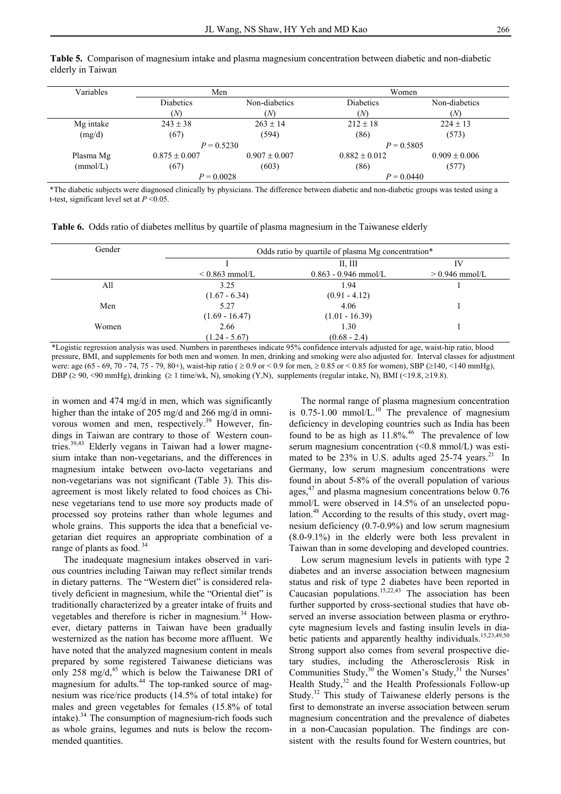| Variables | Men               |                   | Women             |                   |  |
|-----------|-------------------|-------------------|-------------------|-------------------|--|
|           | <b>Diabetics</b>  | Non-diabetics     | <b>Diabetics</b>  | Non-diabetics     |  |
|           | (N)               | 'N                | (N)               | (M                |  |
| Mg intake | $243 \pm 38$      | $263 \pm 14$      | $212 \pm 18$      | $224 \pm 13$      |  |
| (mg/d)    | (67)              | (594)             | (86)              | (573)             |  |
|           | $P = 0.5230$      |                   | $P = 0.5805$      |                   |  |
| Plasma Mg | $0.875 \pm 0.007$ | $0.907 \pm 0.007$ | $0.882 \pm 0.012$ | $0.909 \pm 0.006$ |  |
| (mmol/L)  | (67)              | (603)             | (86)              | (577)             |  |
|           | $P = 0.0028$      |                   | $P = 0.0440$      |                   |  |

**Table 5.** Comparison of magnesium intake and plasma magnesium concentration between diabetic and non-diabetic elderly in Taiwan

\*The diabetic subjects were diagnosed clinically by physicians. The difference between diabetic and non-diabetic groups was tested using a t-test, significant level set at *P* <0.05.

**Table 6.** Odds ratio of diabetes mellitus by quartile of plasma magnesium in the Taiwanese elderly

| Gender |                     | Odds ratio by quartile of plasma Mg concentration* |                  |  |
|--------|---------------------|----------------------------------------------------|------------------|--|
|        |                     | II, III                                            | IV               |  |
|        | $\leq$ 0.863 mmol/L | $0.863 - 0.946$ mmol/L                             | $> 0.946$ mmol/L |  |
| All    | 3.25                | 1.94                                               |                  |  |
|        | $(1.67 - 6.34)$     | $(0.91 - 4.12)$                                    |                  |  |
| Men    | 5.27                | 4.06                                               |                  |  |
|        | $(1.69 - 16.47)$    | $(1.01 - 16.39)$                                   |                  |  |
| Women  | 2.66                | 1.30                                               |                  |  |
|        | $(1.24 - 5.67)$     | $(0.68 - 2.4)$                                     |                  |  |

\*Logistic regression analysis was used. Numbers in parentheses indicate 95% confidence intervals adjusted for age, waist-hip ratio, blood pressure, BMI, and supplements for both men and women. In men, drinking and smoking were also adjusted for. Interval classes for adjustment were: age (65 - 69, 70 - 74, 75 - 79, 80+), waist-hip ratio ( ≥ 0.9 or < 0.9 for men, ≥ 0.85 or < 0.85 for women), SBP (≥140, <140 mmHg), DBP ( $\geq$  90, <90 mmHg), drinking ( $\geq$  1 time/wk, N), smoking (Y,N), supplements (regular intake, N), BMI (<19.8,  $\geq$  19.8).

in women and 474 mg/d in men, which was significantly higher than the intake of 205 mg/d and 266 mg/d in omnivorous women and men, respectively.<sup>39</sup> However, findings in Taiwan are contrary to those of Western countries.<sup>39,43</sup> Elderly vegans in Taiwan had a lower magnesium intake than non-vegetarians, and the differences in magnesium intake between ovo-lacto vegetarians and non-vegetarians was not significant (Table 3). This disagreement is most likely related to food choices as Chinese vegetarians tend to use more soy products made of processed soy proteins rather than whole legumes and whole grains. This supports the idea that a beneficial vegetarian diet requires an appropriate combination of a range of plants as food.<sup>34</sup>

 The inadequate magnesium intakes observed in various countries including Taiwan may reflect similar trends in dietary patterns. The "Western diet" is considered relatively deficient in magnesium, while the "Oriental diet" is traditionally characterized by a greater intake of fruits and vegetables and therefore is richer in magnesium.<sup>34</sup> However, dietary patterns in Taiwan have been gradually westernized as the nation has become more affluent. We have noted that the analyzed magnesium content in meals prepared by some registered Taiwanese dieticians was only 258 mg/d, $45$  which is below the Taiwanese DRI of magnesium for adults.<sup>44</sup> The top-ranked source of magnesium was rice/rice products (14.5% of total intake) for males and green vegetables for females (15.8% of total intake).<sup>34</sup> The consumption of magnesium-rich foods such as whole grains, legumes and nuts is below the recommended quantities.

 The normal range of plasma magnesium concentration is  $0.75$ -1.00 mmol/L.<sup>10</sup> The prevalence of magnesium deficiency in developing countries such as India has been found to be as high as  $11.8\%$ .<sup>46</sup> The prevalence of low serum magnesium concentration (<0.8 mmol/L) was estimated to be  $23\%$  in U.S. adults aged  $25-74$  years.<sup>21</sup> In Germany, low serum magnesium concentrations were found in about 5-8% of the overall population of various ages,47 and plasma magnesium concentrations below 0.76 mmol/L were observed in 14.5% of an unselected population.<sup>48</sup> According to the results of this study, overt magnesium deficiency (0.7-0.9%) and low serum magnesium (8.0-9.1%) in the elderly were both less prevalent in Taiwan than in some developing and developed countries.

 Low serum magnesium levels in patients with type 2 diabetes and an inverse association between magnesium status and risk of type 2 diabetes have been reported in Caucasian populations.<sup>15,22,43</sup> The association has been further supported by cross-sectional studies that have observed an inverse association between plasma or erythrocyte magnesium levels and fasting insulin levels in diabetic patients and apparently healthy individuals.<sup>15,23,49,50</sup> Strong support also comes from several prospective dietary studies, including the Atherosclerosis Risk in Communities Study,  $30$  the Women's Study,  $31$  the Nurses' Health Study, $32$  and the Health Professionals Follow-up Study.32 This study of Taiwanese elderly persons is the first to demonstrate an inverse association between serum magnesium concentration and the prevalence of diabetes in a non-Caucasian population. The findings are consistent with the results found for Western countries, but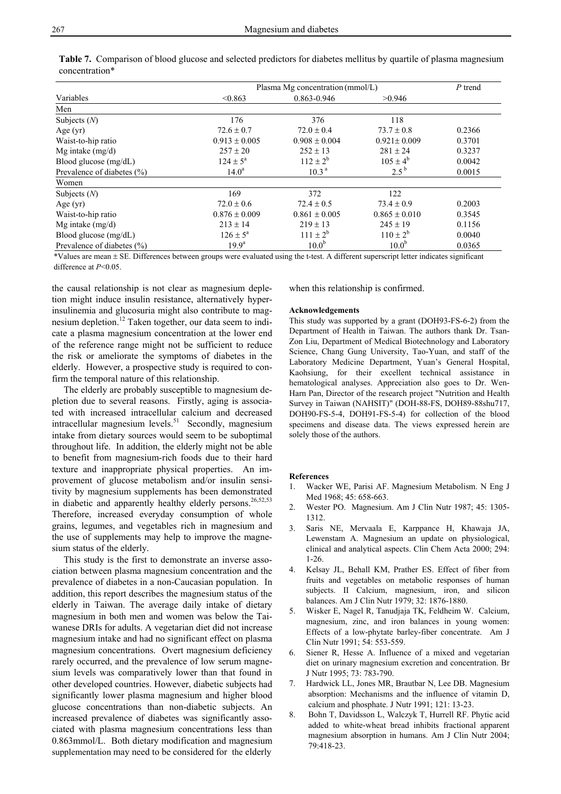|                                | Plasma Mg concentration (mmol/L) | P trend           |                     |        |
|--------------------------------|----------------------------------|-------------------|---------------------|--------|
| Variables                      | < 0.863                          | 0.863-0.946       | >0.946              |        |
| Men                            |                                  |                   |                     |        |
| Subjects $(N)$                 | 176                              | 376               | 118                 |        |
| Age $(yr)$                     | $72.6 \pm 0.7$                   | $72.0 \pm 0.4$    | $73.7 \pm 0.8$      | 0.2366 |
| Waist-to-hip ratio             | $0.913 \pm 0.005$                | $0.908 \pm 0.004$ | $0.921 \pm 0.009$   | 0.3701 |
| Mg intake $(mg/d)$             | $257 \pm 20$                     | $252 \pm 13$      | $281 \pm 24$        | 0.3237 |
| Blood glucose (mg/dL)          | $124 \pm 5^{\circ}$              | $112 \pm 2^b$     | $105 \pm 4^{\rm b}$ | 0.0042 |
| Prevalence of diabetes $(\% )$ | $14.0^{\rm a}$                   | 10.3 <sup>a</sup> | $2.5^{b}$           | 0.0015 |
| Women                          |                                  |                   |                     |        |
| Subjects $(N)$                 | 169                              | 372               | 122                 |        |
| Age $(yr)$                     | $72.0 \pm 0.6$                   | $72.4 \pm 0.5$    | $73.4 \pm 0.9$      | 0.2003 |
| Waist-to-hip ratio             | $0.876 \pm 0.009$                | $0.861 \pm 0.005$ | $0.865 \pm 0.010$   | 0.3545 |
| Mg intake $(mg/d)$             | $213 \pm 14$                     | $219 \pm 13$      | $245 \pm 19$        | 0.1156 |
| Blood glucose (mg/dL)          | $126 \pm 5^{\circ}$              | $111 \pm 2^b$     | $110 \pm 2^{b}$     | 0.0040 |
| Prevalence of diabetes (%)     | $19.9^{\rm a}$                   | 10.0 <sup>b</sup> | $10.0^{b}$          | 0.0365 |

**Table 7.** Comparison of blood glucose and selected predictors for diabetes mellitus by quartile of plasma magnesium concentration\*

\*Values are mean ± SE. Differences between groups were evaluated using the t-test. A different superscript letter indicates significant difference at *P*<0.05.

the causal relationship is not clear as magnesium depletion might induce insulin resistance, alternatively hyperinsulinemia and glucosuria might also contribute to magnesium depletion.<sup>12</sup> Taken together, our data seem to indicate a plasma magnesium concentration at the lower end of the reference range might not be sufficient to reduce the risk or ameliorate the symptoms of diabetes in the elderly. However, a prospective study is required to confirm the temporal nature of this relationship.

 The elderly are probably susceptible to magnesium depletion due to several reasons. Firstly, aging is associated with increased intracellular calcium and decreased intracellular magnesium levels.<sup>51</sup> Secondly, magnesium intake from dietary sources would seem to be suboptimal throughout life. In addition, the elderly might not be able to benefit from magnesium-rich foods due to their hard texture and inappropriate physical properties. An improvement of glucose metabolism and/or insulin sensitivity by magnesium supplements has been demonstrated in diabetic and apparently healthy elderly persons.<sup>26,52,53</sup> Therefore, increased everyday consumption of whole grains, legumes, and vegetables rich in magnesium and the use of supplements may help to improve the magnesium status of the elderly.

 This study is the first to demonstrate an inverse association between plasma magnesium concentration and the prevalence of diabetes in a non-Caucasian population. In addition, this report describes the magnesium status of the elderly in Taiwan. The average daily intake of dietary magnesium in both men and women was below the Taiwanese DRIs for adults. A vegetarian diet did not increase magnesium intake and had no significant effect on plasma magnesium concentrations. Overt magnesium deficiency rarely occurred, and the prevalence of low serum magnesium levels was comparatively lower than that found in other developed countries. However, diabetic subjects had significantly lower plasma magnesium and higher blood glucose concentrations than non-diabetic subjects. An increased prevalence of diabetes was significantly associated with plasma magnesium concentrations less than 0.863mmol/L. Both dietary modification and magnesium supplementation may need to be considered for the elderly

when this relationship is confirmed.

#### **Acknowledgements**

This study was supported by a grant (DOH93-FS-6-2) from the Department of Health in Taiwan. The authors thank Dr. Tsan-Zon Liu, Department of Medical Biotechnology and Laboratory Science, Chang Gung University, Tao-Yuan, and staff of the Laboratory Medicine Department, Yuan's General Hospital, Kaohsiung, for their excellent technical assistance in hematological analyses. Appreciation also goes to Dr. Wen-Harn Pan, Director of the research project "Nutrition and Health Survey in Taiwan (NAHSIT)" (DOH-88-FS, DOH89-88shu717, DOH90-FS-5-4, DOH91-FS-5-4) for collection of the blood specimens and disease data. The views expressed herein are solely those of the authors.

#### **References**

- 1. Wacker WE, Parisi AF. Magnesium Metabolism. N Eng J Med 1968; 45: 658-663.
- 2. Wester PO. Magnesium. Am J Clin Nutr 1987; 45: 1305- 1312.
- 3. Saris NE, Mervaala E, Karppance H, Khawaja JA, Lewenstam A. Magnesium an update on physiological, clinical and analytical aspects. Clin Chem Acta 2000; 294: 1-26.
- 4. Kelsay JL, Behall KM, Prather ES. Effect of fiber from fruits and vegetables on metabolic responses of human subjects. II Calcium, magnesium, iron, and silicon balances. Am J Clin Nutr 1979; 32: 1876-1880.
- 5. Wisker E, Nagel R, Tanudjaja TK, Feldheim W. Calcium, magnesium, zinc, and iron balances in young women: Effects of a low-phytate barley-fiber concentrate. Am J Clin Nutr 1991; 54: 553-559.
- 6. Siener R, Hesse A. Influence of a mixed and vegetarian diet on urinary magnesium excretion and concentration. Br J Nutr 1995; 73: 783-790.
- 7. Hardwick LL, Jones MR, Brautbar N, Lee DB. Magnesium absorption: Mechanisms and the influence of vitamin D, calcium and phosphate. J Nutr 1991; 121: 13-23.
- 8. Bohn T, Davidsson L, Walczyk T, Hurrell RF. Phytic acid added to white-wheat bread inhibits fractional apparent magnesium absorption in humans. Am J Clin Nutr 2004; 79:418-23.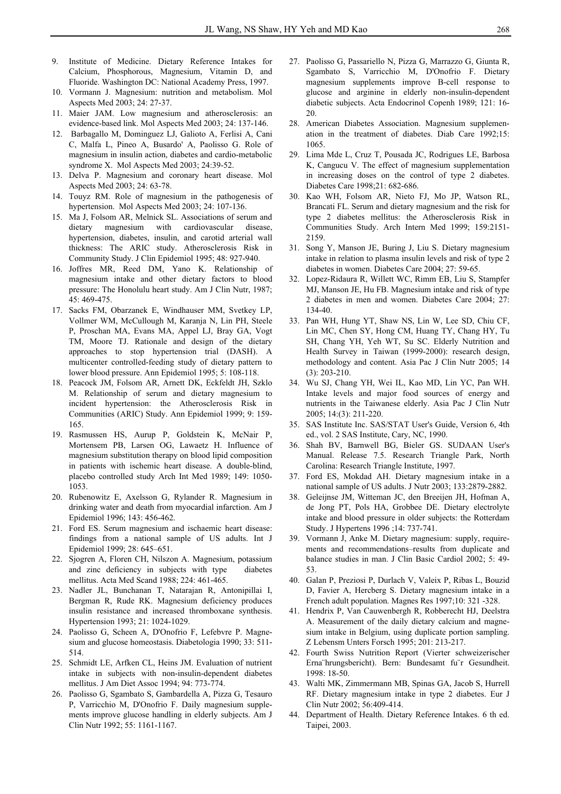- 9. Institute of Medicine. Dietary Reference Intakes for Calcium, Phosphorous, Magnesium, Vitamin D, and Fluoride. Washington DC: National Academy Press, 1997.
- 10. Vormann J. Magnesium: nutrition and metabolism. Mol Aspects Med 2003; 24: 27-37.
- 11. Maier JAM. Low magnesium and atherosclerosis: an evidence-based link. Mol Aspects Med 2003; 24: 137-146.
- 12. Barbagallo M, Dominguez LJ, Galioto A, Ferlisi A, Cani C, Malfa L, Pineo A, Busardo' A, Paolisso G. Role of magnesium in insulin action, diabetes and cardio-metabolic syndrome X. Mol Aspects Med 2003; 24:39-52.
- 13. Delva P. Magnesium and coronary heart disease. Mol Aspects Med 2003; 24: 63-78.
- 14. Touyz RM. Role of magnesium in the pathogenesis of hypertension. Mol Aspects Med 2003; 24: 107-136.
- 15. Ma J, Folsom AR, Melnick SL. Associations of serum and dietary magnesium with cardiovascular disease, hypertension, diabetes, insulin, and carotid arterial wall thickness: The ARIC study. Atherosclerosis Risk in Community Study. J Clin Epidemiol 1995; 48: 927-940.
- 16. Joffres MR, Reed DM, Yano K. Relationship of magnesium intake and other dietary factors to blood pressure: The Honolulu heart study. Am J Clin Nutr, 1987; 45: 469-475.
- 17. Sacks FM, Obarzanek E, Windhauser MM, Svetkey LP, Vollmer WM, McCullough M, Karanja N, Lin PH, Steele P, Proschan MA, Evans MA, Appel LJ, Bray GA, Vogt TM, Moore TJ. Rationale and design of the dietary approaches to stop hypertension trial (DASH). A multicenter controlled-feeding study of dietary pattern to lower blood pressure. Ann Epidemiol 1995; 5: 108-118.
- 18. Peacock JM, Folsom AR, Arnett DK, Eckfeldt JH, Szklo M. Relationship of serum and dietary magnesium to incident hypertension: the Atherosclerosis Risk in Communities (ARIC) Study. Ann Epidemiol 1999; 9: 159- 165.
- 19. Rasmussen HS, Aurup P, Goldstein K, McNair P, Mortensem PB, Larsen OG, Lawaetz H. Influence of magnesium substitution therapy on blood lipid composition in patients with ischemic heart disease. A double-blind, placebo controlled study Arch Int Med 1989; 149: 1050- 1053.
- 20. Rubenowitz E, Axelsson G, Rylander R. Magnesium in drinking water and death from myocardial infarction. Am J Epidemiol 1996; 143: 456-462.
- 21. Ford ES. Serum magnesium and ischaemic heart disease: findings from a national sample of US adults. Int J Epidemiol 1999; 28: 645–651.
- 22. Sjogren A, Floren CH, Nilszon A. Magnesium, potassium and zinc deficiency in subjects with type diabetes mellitus. Acta Med Scand 1988; 224: 461-465.
- 23. Nadler JL, Bunchanan T, Natarajan R, Antonipillai I, Bergman R, Rude RK. Magnesium deficiency produces insulin resistance and increased thromboxane synthesis. Hypertension 1993; 21: 1024-1029.
- 24. Paolisso G, Scheen A, D'Onofrio F, Lefebvre P. Magnesium and glucose homeostasis. Diabetologia 1990; 33: 511- 514.
- 25. Schmidt LE, Arfken CL, Heins JM. Evaluation of nutrient intake in subjects with non-insulin-dependent diabetes mellitus. J Am Diet Assoc 1994; 94: 773-774.
- 26. Paolisso G, Sgambato S, Gambardella A, Pizza G, Tesauro P, Varricchio M, D'Onofrio F. Daily magnesium supplements improve glucose handling in elderly subjects. Am J Clin Nutr 1992; 55: 1161-1167.
- 27. Paolisso G, Passariello N, Pizza G, Marrazzo G, Giunta R, Sgambato S, Varricchio M, D'Onofrio F. Dietary magnesium supplements improve B-cell response to glucose and arginine in elderly non-insulin-dependent diabetic subjects. Acta Endocrinol Copenh 1989; 121: 16- 20.
- 28. American Diabetes Association. Magnesium supplemenation in the treatment of diabetes. Diab Care 1992;15: 1065.
- 29. Lima Mde L, Cruz T, Pousada JC, Rodrigues LE, Barbosa K, Cangucu V. The effect of magnesium supplementation in increasing doses on the control of type 2 diabetes. Diabetes Care 1998;21: 682-686.
- 30. Kao WH, Folsom AR, Nieto FJ, Mo JP, Watson RL, Brancati FL. Serum and dietary magnesium and the risk for type 2 diabetes mellitus: the Atherosclerosis Risk in Communities Study. Arch Intern Med 1999; 159:2151- 2159.
- 31. Song Y, Manson JE, Buring J, Liu S. Dietary magnesium intake in relation to plasma insulin levels and risk of type 2 diabetes in women. Diabetes Care 2004; 27: 59-65.
- 32. Lopez-Ridaura R, Willett WC, Rimm EB, Liu S, Stampfer MJ, Manson JE, Hu FB. Magnesium intake and risk of type 2 diabetes in men and women. Diabetes Care 2004; 27: 134-40.
- 33. Pan WH, Hung YT, Shaw NS, Lin W, Lee SD, Chiu CF, Lin MC, Chen SY, Hong CM, Huang TY, Chang HY, Tu SH, Chang YH, Yeh WT, Su SC. Elderly Nutrition and Health Survey in Taiwan (1999-2000): research design, methodology and content. Asia Pac J Clin Nutr 2005; 14 (3): 203-210.
- 34. Wu SJ, Chang YH, Wei IL, Kao MD, Lin YC, Pan WH. Intake levels and major food sources of energy and nutrients in the Taiwanese elderly. Asia Pac J Clin Nutr 2005; 14:(3): 211-220.
- 35. SAS Institute Inc. SAS/STAT User's Guide, Version 6, 4th ed., vol. 2 SAS Institute, Cary, NC, 1990.
- 36. Shah BV, Barnwell BG, Bieler GS. SUDAAN User's Manual. Release 7.5. Research Triangle Park, North Carolina: Research Triangle Institute, 1997.
- 37. Ford ES, Mokdad AH. Dietary magnesium intake in a national sample of US adults. J Nutr 2003; 133:2879-2882.
- 38. Geleijnse JM, Witteman JC, den Breeijen JH, Hofman A, de Jong PT, Pols HA, Grobbee DE. Dietary electrolyte intake and blood pressure in older subjects: the Rotterdam Study. J Hypertens 1996 ;14: 737-741.
- 39. Vormann J, Anke M. Dietary magnesium: supply, requirements and recommendations–results from duplicate and balance studies in man. J Clin Basic Cardiol 2002; 5: 49- 53.
- 40. Galan P, Preziosi P, Durlach V, Valeix P, Ribas L, Bouzid D, Favier A, Hercberg S. Dietary magnesium intake in a French adult population. Magnes Res 1997;10: 321 -328.
- 41. Hendrix P, Van Cauwenbergh R, Robberecht HJ, Deelstra A. Measurement of the daily dietary calcium and magnesium intake in Belgium, using duplicate portion sampling. Z Lebensm Unters Forsch 1995; 201: 213-217.
- 42. Fourth Swiss Nutrition Report (Vierter schweizerischer Erna¨hrungsbericht). Bern: Bundesamt fu¨r Gesundheit. 1998: 18-50.
- 43. Walti MK, Zimmermann MB, Spinas GA, Jacob S, Hurrell RF. Dietary magnesium intake in type 2 diabetes. Eur J Clin Nutr 2002; 56:409-414.
- 44. Department of Health. Dietary Reference Intakes. 6 th ed. Taipei, 2003.